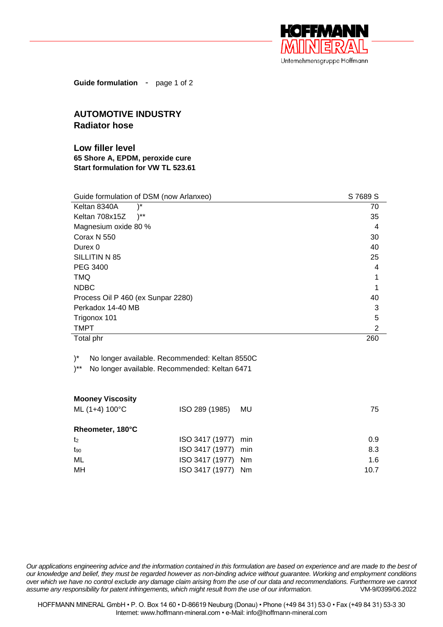

**Guide formulation** - page 1 of 2

## **AUTOMOTIVE INDUSTRY Radiator hose**

**Low filler level 65 Shore A, EPDM, peroxide cure Start formulation for VW TL 523.61**

| Guide formulation of DSM (now Arlanxeo) | S 7689 S |
|-----------------------------------------|----------|
| Keltan 8340A<br>)*                      | 70       |
| $)^{**}$<br>Keltan 708x15Z              | 35       |
| Magnesium oxide 80 %                    | 4        |
| Corax N 550                             | 30       |
| Durex 0                                 | 40       |
| SILLITIN N 85                           | 25       |
| PEG 3400                                | 4        |
| <b>TMQ</b>                              |          |
| <b>NDBC</b>                             |          |
| Process Oil P 460 (ex Sunpar 2280)      | 40       |
| Perkadox 14-40 MB                       | 3        |
| Trigonox 101                            | 5        |
| <b>TMPT</b>                             | 2        |
| Total phr                               | 260      |

)\* No longer available. Recommended: Keltan 8550C

)\*\* No longer available. Recommended: Keltan 6471

## **Mooney Viscosity**

| ML (1+4) 100°C   | ISO 289 (1985)      | MU | 75   |
|------------------|---------------------|----|------|
| Rheometer, 180°C |                     |    |      |
| t2               | ISO 3417 (1977) min |    | 0.9  |
| t <sub>90</sub>  | ISO 3417 (1977) min |    | 8.3  |
| ML               | ISO 3417 (1977) Nm  |    | 1.6  |
| МH               | ISO 3417 (1977) Nm  |    | 10.7 |

*Our applications engineering advice and the information contained in this formulation are based on experience and are made to the best of our knowledge and belief, they must be regarded however as non-binding advice without guarantee. Working and employment conditions over which we have no control exclude any damage claim arising from the use of our data and recommendations. Furthermore we cannot assume any responsibility for patent infringements, which might result from the use of our information.* VM-9/0399/06.2022